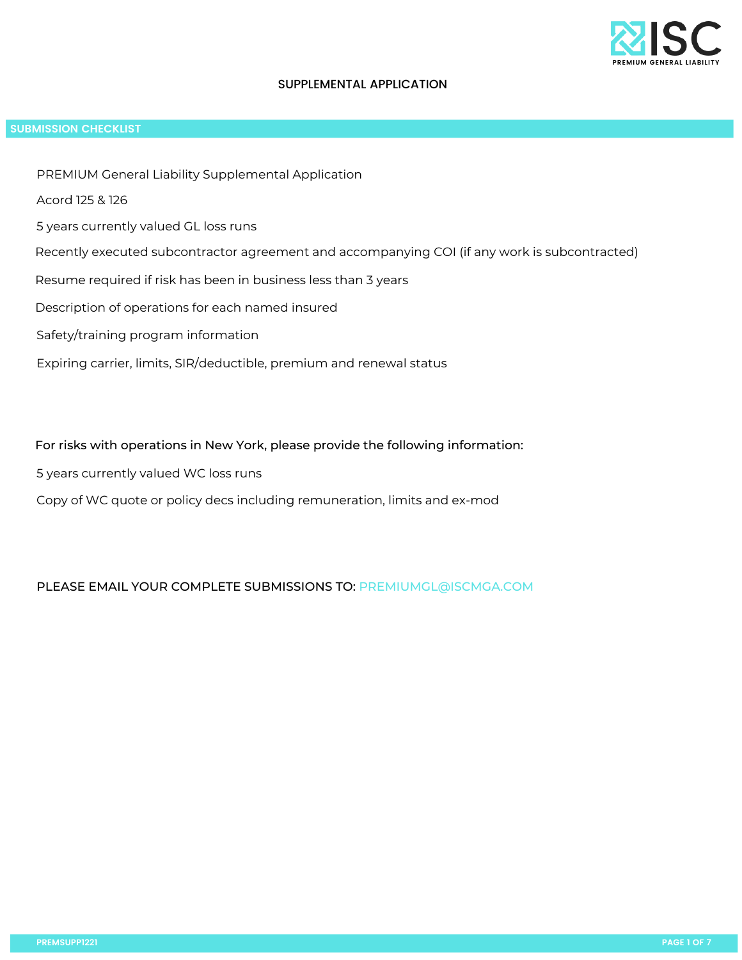

## SUPPLEMENTAL APPLICATION

## **SUBMISSION CHECKLIST**

- PREMIUM General Liability Supplemental Application
- Acord 125 & 126
- 5 years currently valued GL loss runs
- Recently executed subcontractor agreement and accompanying COI (if any work is subcontracted)
- Resume required if risk has been in business less than 3 years
- Description of operations for each named insured
- Safety/training program information
- Expiring carrier, limits, SIR/deductible, premium and renewal status

## For risks with operations in New York, please provide the following information:

- 5 years currently valued WC loss runs
- Copy of WC quote or policy decs including remuneration, limits and ex-mod

## PLEASE EMAIL YOUR COMPLETE SUBMISSIONS TO: PREMIUMGL@ISCMGA.COM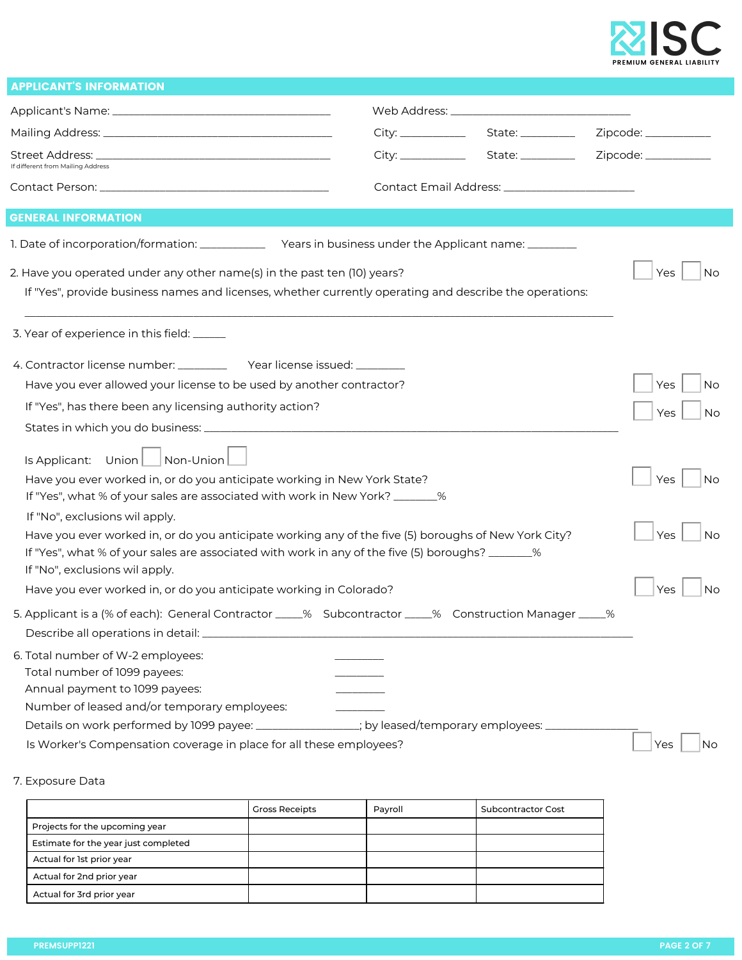

| <b>APPLICANT'S INFORMATION</b>                                                                                                                                                                                                                                                                                                                                                                                                                                                                                                                                                                                                                                                                                                                                                                 |                                                  |                                                                        |
|------------------------------------------------------------------------------------------------------------------------------------------------------------------------------------------------------------------------------------------------------------------------------------------------------------------------------------------------------------------------------------------------------------------------------------------------------------------------------------------------------------------------------------------------------------------------------------------------------------------------------------------------------------------------------------------------------------------------------------------------------------------------------------------------|--------------------------------------------------|------------------------------------------------------------------------|
|                                                                                                                                                                                                                                                                                                                                                                                                                                                                                                                                                                                                                                                                                                                                                                                                |                                                  |                                                                        |
|                                                                                                                                                                                                                                                                                                                                                                                                                                                                                                                                                                                                                                                                                                                                                                                                |                                                  |                                                                        |
| If different from Mailing Address                                                                                                                                                                                                                                                                                                                                                                                                                                                                                                                                                                                                                                                                                                                                                              |                                                  |                                                                        |
|                                                                                                                                                                                                                                                                                                                                                                                                                                                                                                                                                                                                                                                                                                                                                                                                | Contact Email Address: _________________________ |                                                                        |
| <b>GENERAL INFORMATION</b>                                                                                                                                                                                                                                                                                                                                                                                                                                                                                                                                                                                                                                                                                                                                                                     |                                                  |                                                                        |
| 1. Date of incorporation/formation: _______________ Years in business under the Applicant name: ________                                                                                                                                                                                                                                                                                                                                                                                                                                                                                                                                                                                                                                                                                       |                                                  |                                                                        |
| 2. Have you operated under any other name(s) in the past ten (10) years?<br>If "Yes", provide business names and licenses, whether currently operating and describe the operations:                                                                                                                                                                                                                                                                                                                                                                                                                                                                                                                                                                                                            |                                                  | <b>No</b><br>Yes                                                       |
| 3. Year of experience in this field: _____                                                                                                                                                                                                                                                                                                                                                                                                                                                                                                                                                                                                                                                                                                                                                     |                                                  |                                                                        |
| 4. Contractor license number: ____________ Year license issued: _________<br>Have you ever allowed your license to be used by another contractor?<br>If "Yes", has there been any licensing authority action?<br>$\sqrt{\frac{1}{100}}$ Non-Union<br>Is Applicant: $Union$<br>Have you ever worked in, or do you anticipate working in New York State?<br>If "Yes", what % of your sales are associated with work in New York? _______%<br>If "No", exclusions wil apply.<br>Have you ever worked in, or do you anticipate working any of the five (5) boroughs of New York City?<br>If "Yes", what % of your sales are associated with work in any of the five (5) boroughs? _______%<br>If "No", exclusions wil apply.<br>Have you ever worked in, or do you anticipate working in Colorado? |                                                  | No<br>Yes<br>Yes<br>No.<br>No.<br>Yes<br><b>No</b><br>Yes<br>Yes<br>No |
| 5. Applicant is a (% of each): General Contractor _____% Subcontractor _____% Construction Manager _____%<br>6. Total number of W-2 employees:<br>Total number of 1099 payees:<br>Annual payment to 1099 payees:<br>Number of leased and/or temporary employees:<br>Details on work performed by 1099 payee: _______________; by leased/temporary employees: __________<br>Is Worker's Compensation coverage in place for all these employees?                                                                                                                                                                                                                                                                                                                                                 |                                                  | Yes<br>No                                                              |

7. Exposure Data

|                                      | <b>Gross Receipts</b> | Payroll | Subcontractor Cost |
|--------------------------------------|-----------------------|---------|--------------------|
| Projects for the upcoming year       |                       |         |                    |
| Estimate for the year just completed |                       |         |                    |
| Actual for 1st prior year            |                       |         |                    |
| Actual for 2nd prior year            |                       |         |                    |
| Actual for 3rd prior year            |                       |         |                    |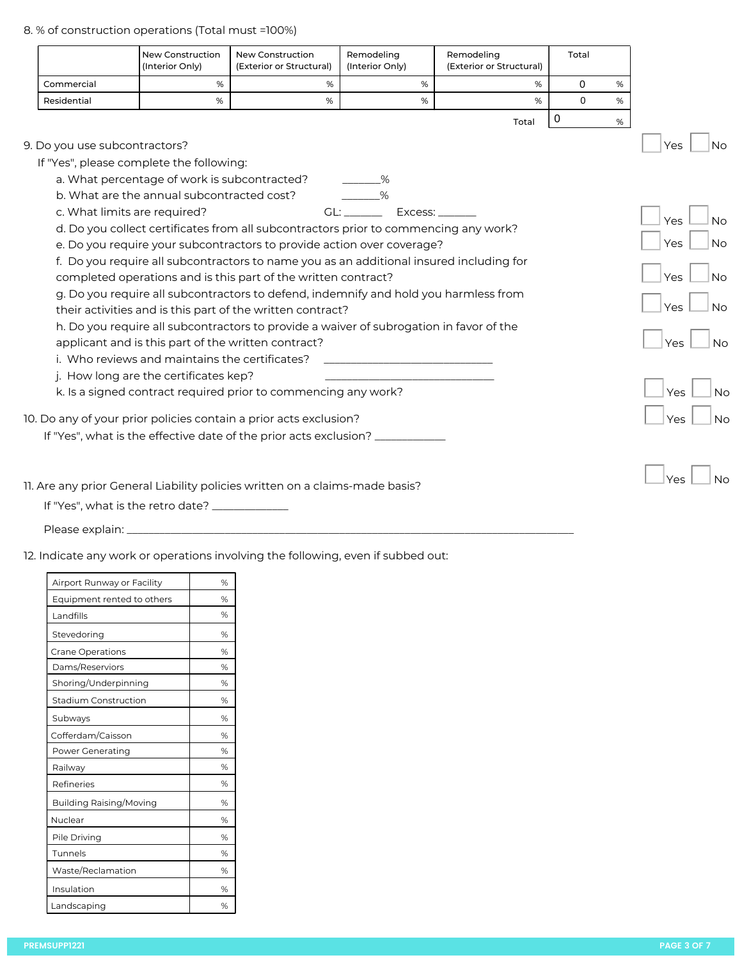8. % of construction operations (Total must =100%)

|                               | <b>New Construction</b><br>(Interior Only)                                              | <b>New Construction</b><br>(Exterior or Structural) | Remodeling<br>(Interior Only)       | Remodeling<br>(Exterior or Structural) | Total    |      |                  |
|-------------------------------|-----------------------------------------------------------------------------------------|-----------------------------------------------------|-------------------------------------|----------------------------------------|----------|------|------------------|
| Commercial                    | $\%$                                                                                    | %                                                   | %                                   | %                                      | 0        | $\%$ |                  |
| Residential                   | $\%$                                                                                    | $\%$                                                | %                                   | $\%$                                   | $\Omega$ | %    |                  |
|                               |                                                                                         |                                                     |                                     | Total                                  | 0        | %    |                  |
| 9. Do you use subcontractors? |                                                                                         |                                                     |                                     |                                        |          |      | <b>No</b><br>Yes |
|                               | If "Yes", please complete the following:                                                |                                                     |                                     |                                        |          |      |                  |
|                               | a. What percentage of work is subcontracted?                                            |                                                     | $\%$                                |                                        |          |      |                  |
|                               | b. What are the annual subcontracted cost?                                              |                                                     |                                     |                                        |          |      |                  |
|                               | c. What limits are required?                                                            |                                                     | GL: _____________ Excess: _________ |                                        |          |      | Yes<br><b>No</b> |
|                               | d. Do you collect certificates from all subcontractors prior to commencing any work?    |                                                     |                                     |                                        |          |      |                  |
|                               | e. Do you require your subcontractors to provide action over coverage?                  |                                                     |                                     |                                        |          |      | Yes<br><b>No</b> |
|                               | f. Do you require all subcontractors to name you as an additional insured including for |                                                     |                                     |                                        |          |      |                  |
|                               | completed operations and is this part of the written contract?                          |                                                     |                                     |                                        |          |      | Yes<br><b>No</b> |
|                               | g. Do you require all subcontractors to defend, indemnify and hold you harmless from    |                                                     |                                     |                                        |          |      | Yes<br><b>No</b> |
|                               | their activities and is this part of the written contract?                              |                                                     |                                     |                                        |          |      |                  |
|                               | h. Do you require all subcontractors to provide a waiver of subrogation in favor of the |                                                     |                                     |                                        |          |      |                  |
|                               | applicant and is this part of the written contract?                                     |                                                     |                                     |                                        |          |      | Yes<br><b>No</b> |
|                               | i. Who reviews and maintains the certificates?                                          |                                                     |                                     |                                        |          |      |                  |
|                               | j. How long are the certificates kep?                                                   |                                                     |                                     |                                        |          |      |                  |
|                               | k. Is a signed contract required prior to commencing any work?                          |                                                     |                                     |                                        |          |      | Yes<br><b>No</b> |
|                               | 10. Do any of your prior policies contain a prior acts exclusion?                       |                                                     |                                     |                                        |          |      | <b>No</b><br>Yes |
|                               | If "Yes", what is the effective date of the prior acts exclusion? _____________         |                                                     |                                     |                                        |          |      |                  |
|                               |                                                                                         |                                                     |                                     |                                        |          |      |                  |
|                               |                                                                                         |                                                     |                                     |                                        |          |      | <b>No</b><br>Yes |
|                               | 11. Are any prior General Liability policies written on a claims-made basis?            |                                                     |                                     |                                        |          |      |                  |
|                               | If "Yes", what is the retro date? _                                                     |                                                     |                                     |                                        |          |      |                  |

Please explain: \_\_\_\_\_\_\_\_\_\_\_\_\_\_\_\_\_\_\_\_\_\_\_\_\_\_\_\_\_\_\_\_\_\_\_\_\_\_\_\_\_\_\_\_\_\_\_\_\_\_\_\_\_\_\_\_\_\_\_\_\_\_\_\_\_\_\_\_\_\_\_\_\_\_\_\_\_\_\_\_\_\_

12. Indicate any work or operations involving the following, even if subbed out:

| Airport Runway or Facility     | % |
|--------------------------------|---|
| Equipment rented to others     | % |
| Landfills                      | % |
| Stevedoring                    | % |
| <b>Crane Operations</b>        | % |
| Dams/Reserviors                | % |
| Shoring/Underpinning           | % |
| Stadium Construction           | % |
| Subways                        | % |
| Cofferdam/Caisson              | % |
| Power Generating               | % |
| Railway                        | % |
| Refineries                     | % |
| <b>Building Raising/Moving</b> | % |
| Nuclear                        | % |
| Pile Driving                   | % |
| Tunnels                        | % |
| Waste/Reclamation              | % |
| Insulation                     | % |
| Landscaping                    | % |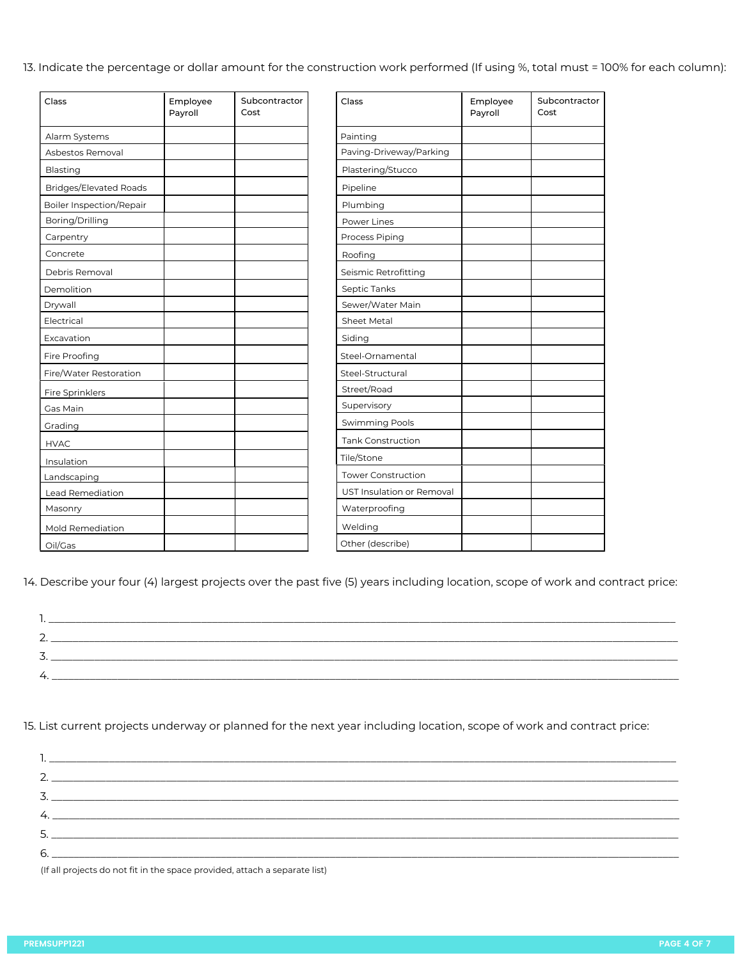13. Indicate the percentage or dollar amount for the construction work performed (If using %, total must = 100% for each column):

| Class                           | Employee<br>Payroll | Subcontractor<br>Cost | Class                     | Employee<br>Payroll | Subcontractor<br>Cost |
|---------------------------------|---------------------|-----------------------|---------------------------|---------------------|-----------------------|
| Alarm Systems                   |                     |                       | Painting                  |                     |                       |
| Asbestos Removal                |                     |                       | Paving-Driveway/Parking   |                     |                       |
| Blasting                        |                     |                       | Plastering/Stucco         |                     |                       |
| <b>Bridges/Elevated Roads</b>   |                     |                       | Pipeline                  |                     |                       |
| <b>Boiler Inspection/Repair</b> |                     |                       | Plumbing                  |                     |                       |
| Boring/Drilling                 |                     |                       | Power Lines               |                     |                       |
| Carpentry                       |                     |                       | Process Piping            |                     |                       |
| Concrete                        |                     |                       | Roofing                   |                     |                       |
| Debris Removal                  |                     |                       | Seismic Retrofitting      |                     |                       |
| Demolition                      |                     |                       | Septic Tanks              |                     |                       |
| Drywall                         |                     |                       | Sewer/Water Main          |                     |                       |
| Electrical                      |                     |                       | <b>Sheet Metal</b>        |                     |                       |
| Excavation                      |                     |                       | Siding                    |                     |                       |
| Fire Proofing                   |                     |                       | Steel-Ornamental          |                     |                       |
| Fire/Water Restoration          |                     |                       | Steel-Structural          |                     |                       |
| Fire Sprinklers                 |                     |                       | Street/Road               |                     |                       |
| Gas Main                        |                     |                       | Supervisory               |                     |                       |
| Grading                         |                     |                       | <b>Swimming Pools</b>     |                     |                       |
| <b>HVAC</b>                     |                     |                       | <b>Tank Construction</b>  |                     |                       |
| Insulation                      |                     |                       | Tile/Stone                |                     |                       |
| Landscaping                     |                     |                       | <b>Tower Construction</b> |                     |                       |
| <b>Lead Remediation</b>         |                     |                       | UST Insulation or Removal |                     |                       |
| Masonry                         |                     |                       | Waterproofing             |                     |                       |
| Mold Remediation                |                     |                       | Welding                   |                     |                       |
| Oil/Gas                         |                     |                       | Other (describe)          |                     |                       |

14. Describe your four (4) largest projects over the past five (5) years including location, scope of work and contract price:

| J. |  |
|----|--|
| ↵  |  |
|    |  |

15. List current projects underway or planned for the next year including location, scope of work and contract price:

(If all projects do not fit in the space provided, attach a separate list)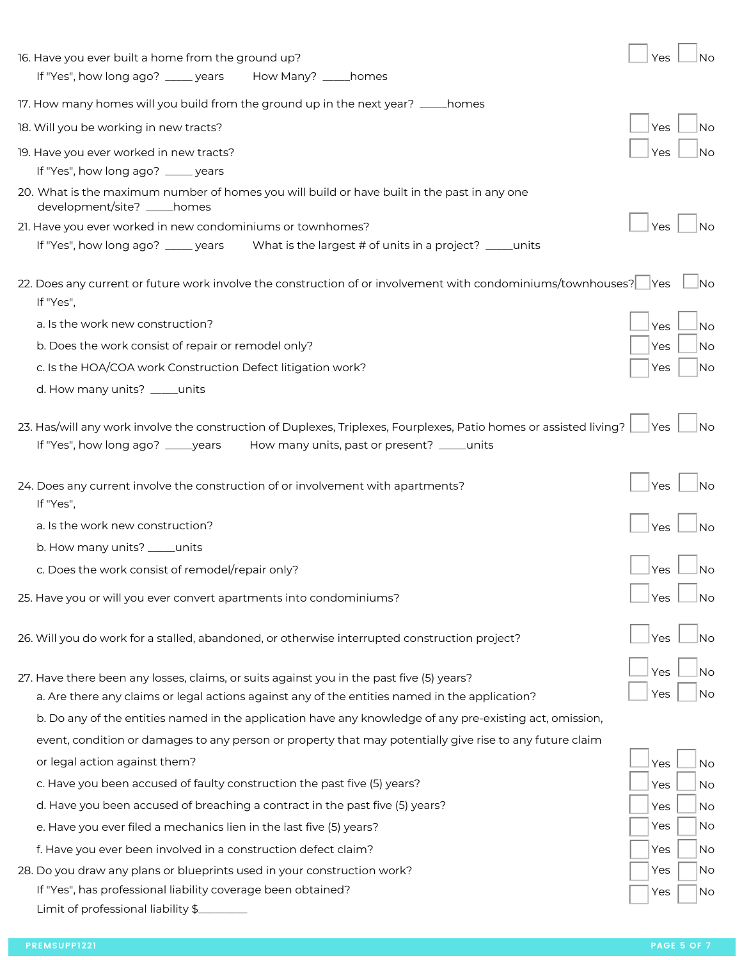| 16. Have you ever built a home from the ground up?                                                                                                                                                       | Yes        | Nο        |
|----------------------------------------------------------------------------------------------------------------------------------------------------------------------------------------------------------|------------|-----------|
| If "Yes", how long ago? _____ years How Many? _____homes                                                                                                                                                 |            |           |
| 17. How many homes will you build from the ground up in the next year? _____homes                                                                                                                        |            |           |
| 18. Will you be working in new tracts?                                                                                                                                                                   | Yes        | No        |
| 19. Have you ever worked in new tracts?                                                                                                                                                                  | Yes        | No        |
| If "Yes", how long ago? _____ years                                                                                                                                                                      |            |           |
| 20. What is the maximum number of homes you will build or have built in the past in any one<br>development/site? ____homes                                                                               |            |           |
| 21. Have you ever worked in new condominiums or townhomes?                                                                                                                                               | Yes        |           |
| If "Yes", how long ago? _____ years<br>What is the largest # of units in a project? _____units                                                                                                           |            |           |
| 22. Does any current or future work involve the construction of or involvement with condominiums/townhouses?   Yes<br>If "Yes",                                                                          |            | .No       |
| a. Is the work new construction?                                                                                                                                                                         | Yes        | No        |
| b. Does the work consist of repair or remodel only?                                                                                                                                                      | Yes        | No        |
| c. Is the HOA/COA work Construction Defect litigation work?                                                                                                                                              | Yes        | No        |
| d. How many units? _____units                                                                                                                                                                            |            |           |
| 23. Has/will any work involve the construction of Duplexes, Triplexes, Fourplexes, Patio homes or assisted living?<br>How many units, past or present? _____units<br>If "Yes", how long ago? ______years | <b>Yes</b> | <b>No</b> |
| 24. Does any current involve the construction of or involvement with apartments?<br>If "Yes",                                                                                                            | Yes        | Νo        |
| a. Is the work new construction?                                                                                                                                                                         | Yes        | Νo        |
| b. How many units? _____units                                                                                                                                                                            |            |           |
| c. Does the work consist of remodel/repair only?                                                                                                                                                         | Yes        |           |
| 25. Have you or will you ever convert apartments into condominiums?                                                                                                                                      | Yes        | No        |
| 26. Will you do work for a stalled, abandoned, or otherwise interrupted construction project?                                                                                                            | Yes        | No        |
| 27. Have there been any losses, claims, or suits against you in the past five (5) years?                                                                                                                 | Yes        | No        |
| a. Are there any claims or legal actions against any of the entities named in the application?                                                                                                           | Yes        | No        |
| b. Do any of the entities named in the application have any knowledge of any pre-existing act, omission,                                                                                                 |            |           |
| event, condition or damages to any person or property that may potentially give rise to any future claim                                                                                                 |            |           |
| or legal action against them?                                                                                                                                                                            | Yes        | No        |
| c. Have you been accused of faulty construction the past five (5) years?                                                                                                                                 | Yes        | No        |
| d. Have you been accused of breaching a contract in the past five (5) years?                                                                                                                             | Yes        | No        |
| e. Have you ever filed a mechanics lien in the last five (5) years?                                                                                                                                      | Yes        | No        |
| f. Have you ever been involved in a construction defect claim?                                                                                                                                           | Yes        | <b>No</b> |
| 28. Do you draw any plans or blueprints used in your construction work?                                                                                                                                  | Yes        | No        |
| If "Yes", has professional liability coverage been obtained?                                                                                                                                             | Yes        | No        |
| Limit of professional liability \$                                                                                                                                                                       |            |           |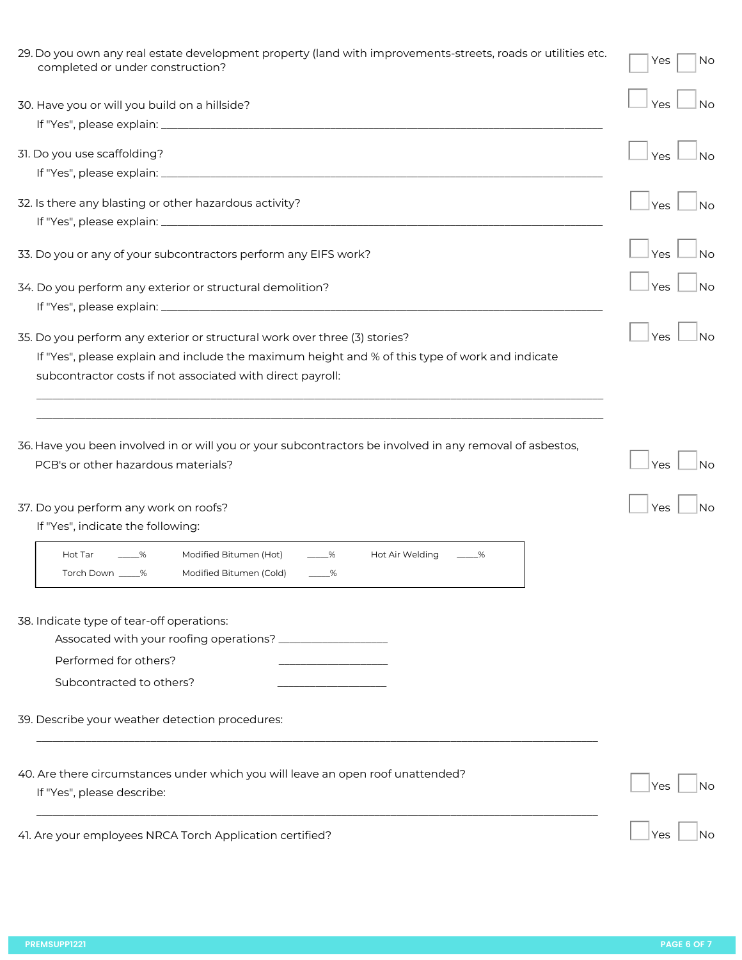| 29. Do you own any real estate development property (land with improvements-streets, roads or utilities etc.<br>completed or under construction? | No<br>Yes        |
|--------------------------------------------------------------------------------------------------------------------------------------------------|------------------|
| 30. Have you or will you build on a hillside?                                                                                                    | Yes<br>Νo        |
|                                                                                                                                                  |                  |
| 31. Do you use scaffolding?                                                                                                                      | Yes<br>Nο        |
|                                                                                                                                                  |                  |
|                                                                                                                                                  |                  |
| 32. Is there any blasting or other hazardous activity?                                                                                           | <b>Yes</b><br>Nο |
|                                                                                                                                                  |                  |
| 33. Do you or any of your subcontractors perform any EIFS work?                                                                                  | Yes<br>No        |
|                                                                                                                                                  |                  |
| 34. Do you perform any exterior or structural demolition?                                                                                        | Yes<br>Nο        |
|                                                                                                                                                  |                  |
| 35. Do you perform any exterior or structural work over three (3) stories?                                                                       | Yes<br>Νo        |
| If "Yes", please explain and include the maximum height and % of this type of work and indicate                                                  |                  |
| subcontractor costs if not associated with direct payroll:                                                                                       |                  |
|                                                                                                                                                  |                  |
| 36. Have you been involved in or will you or your subcontractors be involved in any removal of asbestos,<br>PCB's or other hazardous materials?  | Yes<br>Νo<br>Yes |
| 37. Do you perform any work on roofs?<br>If "Yes", indicate the following:                                                                       | Νo               |
| Modified Bitumen (Hot)<br>Hot Tar<br>$_{\infty}$<br>Hot Air Welding<br>%<br>%<br>Modified Bitumen (Cold)<br>Torch Down _____%<br>$-\%$           |                  |
| 38. Indicate type of tear-off operations:                                                                                                        |                  |
| Performed for others?                                                                                                                            |                  |
| Subcontracted to others?                                                                                                                         |                  |
| 39. Describe your weather detection procedures:                                                                                                  |                  |
| 40. Are there circumstances under which you will leave an open roof unattended?<br>If "Yes", please describe:                                    | Νo<br>Yes        |
| 41. Are your employees NRCA Torch Application certified?                                                                                         | Yes              |